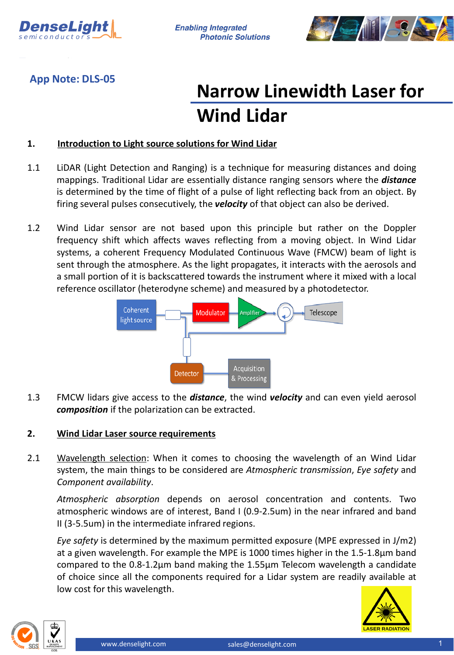

**Enabling Integrated Photonic Solutions** 



**App Note: DLS-05**

## **Narrow Linewidth Laser for Wind Lidar**

## **1. Introduction to Light source solutions for Wind Lidar**

- 1.1 LiDAR (Light Detection and Ranging) is a technique for measuring distances and doing mappings. Traditional Lidar are essentially distance ranging sensors where the *distance* is determined by the time of flight of a pulse of light reflecting back from an object. By firing several pulses consecutively, the *velocity* of that object can also be derived.
- 1.2 Wind Lidar sensor are not based upon this principle but rather on the Doppler frequency shift which affects waves reflecting from a moving object. In Wind Lidar systems, a coherent Frequency Modulated Continuous Wave (FMCW) beam of light is sent through the atmosphere. As the light propagates, it interacts with the aerosols and a small portion of it is backscattered towards the instrument where it mixed with a local reference oscillator (heterodyne scheme) and measured by a photodetector.



1.3 FMCW lidars give access to the *distance*, the wind *velocity* and can even yield aerosol *composition* if the polarization can be extracted.

## **2. Wind Lidar Laser source requirements**

2.1 Wavelength selection: When it comes to choosing the wavelength of an Wind Lidar system, the main things to be considered are *Atmospheric transmission*, *Eye safety* and *Component availability*.

*Atmospheric absorption* depends on aerosol concentration and contents. Two atmospheric windows are of interest, Band I (0.9-2.5um) in the near infrared and band II (3-5.5um) in the intermediate infrared regions.

*Eye safety* is determined by the maximum permitted exposure (MPE expressed in J/m2) at a given wavelength. For example the MPE is 1000 times higher in the 1.5-1.8µm band compared to the 0.8-1.2µm band making the 1.55µm Telecom wavelength a candidate of choice since all the components required for a Lidar system are readily available at low cost for this wavelength.